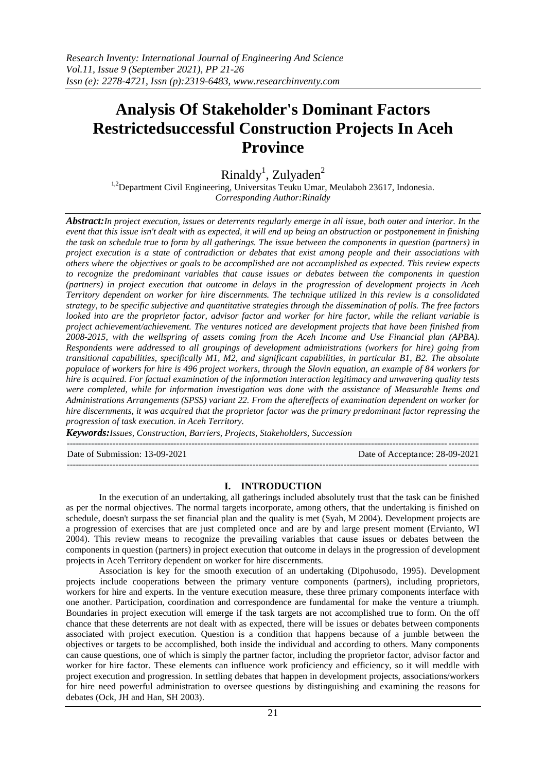# **Analysis Of Stakeholder's Dominant Factors Restrictedsuccessful Construction Projects In Aceh Province**

 $\text{Rinaldy}^1$ , Zulyaden<sup>2</sup>

<sup>1,2</sup>Department Civil Engineering, Universitas Teuku Umar, Meulaboh 23617, Indonesia. *Corresponding Author:Rinaldy*

*Abstract:In project execution, issues or deterrents regularly emerge in all issue, both outer and interior. In the event that this issue isn't dealt with as expected, it will end up being an obstruction or postponement in finishing the task on schedule true to form by all gatherings. The issue between the components in question (partners) in project execution is a state of contradiction or debates that exist among people and their associations with others where the objectives or goals to be accomplished are not accomplished as expected. This review expects to recognize the predominant variables that cause issues or debates between the components in question (partners) in project execution that outcome in delays in the progression of development projects in Aceh Territory dependent on worker for hire discernments. The technique utilized in this review is a consolidated strategy, to be specific subjective and quantitative strategies through the dissemination of polls. The free factors looked into are the proprietor factor, advisor factor and worker for hire factor, while the reliant variable is project achievement/achievement. The ventures noticed are development projects that have been finished from 2008-2015, with the wellspring of assets coming from the Aceh Income and Use Financial plan (APBA). Respondents were addressed to all groupings of development administrations (workers for hire) going from transitional capabilities, specifically M1, M2, and significant capabilities, in particular B1, B2. The absolute populace of workers for hire is 496 project workers, through the Slovin equation, an example of 84 workers for hire is acquired. For factual examination of the information interaction legitimacy and unwavering quality tests were completed, while for information investigation was done with the assistance of Measurable Items and Administrations Arrangements (SPSS) variant 22. From the aftereffects of examination dependent on worker for hire discernments, it was acquired that the proprietor factor was the primary predominant factor repressing the progression of task execution. in Aceh Territory.*

*Keywords:Issues, Construction, Barriers, Projects, Stakeholders, Succession*

--------------------------------------------------------------------------------------------------------------------------------------- Date of Submission: 13-09-2021 Date of Acceptance: 28-09-2021 ---------------------------------------------------------------------------------------------------------------------------------------

# **I. INTRODUCTION**

In the execution of an undertaking, all gatherings included absolutely trust that the task can be finished as per the normal objectives. The normal targets incorporate, among others, that the undertaking is finished on schedule, doesn't surpass the set financial plan and the quality is met (Syah, M 2004). Development projects are a progression of exercises that are just completed once and are by and large present moment (Ervianto, WI 2004). This review means to recognize the prevailing variables that cause issues or debates between the components in question (partners) in project execution that outcome in delays in the progression of development projects in Aceh Territory dependent on worker for hire discernments.

Association is key for the smooth execution of an undertaking (Dipohusodo, 1995). Development projects include cooperations between the primary venture components (partners), including proprietors, workers for hire and experts. In the venture execution measure, these three primary components interface with one another. Participation, coordination and correspondence are fundamental for make the venture a triumph. Boundaries in project execution will emerge if the task targets are not accomplished true to form. On the off chance that these deterrents are not dealt with as expected, there will be issues or debates between components associated with project execution. Question is a condition that happens because of a jumble between the objectives or targets to be accomplished, both inside the individual and according to others. Many components can cause questions, one of which is simply the partner factor, including the proprietor factor, advisor factor and worker for hire factor. These elements can influence work proficiency and efficiency, so it will meddle with project execution and progression. In settling debates that happen in development projects, associations/workers for hire need powerful administration to oversee questions by distinguishing and examining the reasons for debates (Ock, JH and Han, SH 2003).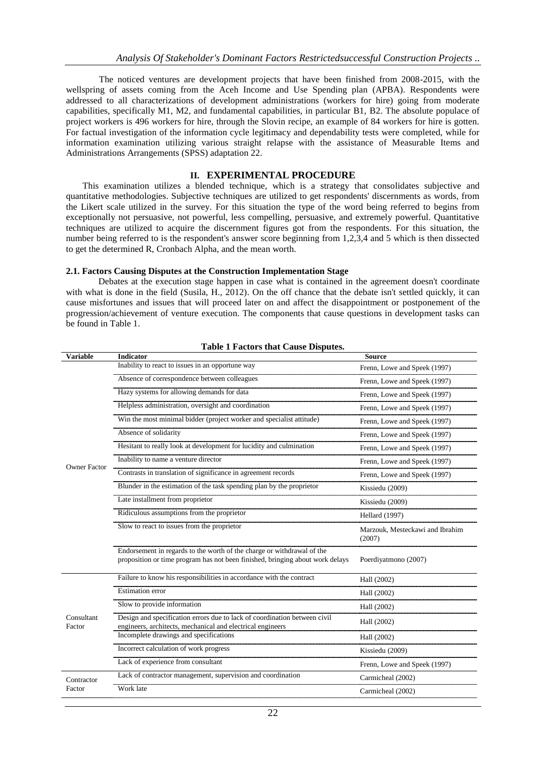The noticed ventures are development projects that have been finished from 2008-2015, with the wellspring of assets coming from the Aceh Income and Use Spending plan (APBA). Respondents were addressed to all characterizations of development administrations (workers for hire) going from moderate capabilities, specifically M1, M2, and fundamental capabilities, in particular B1, B2. The absolute populace of project workers is 496 workers for hire, through the Slovin recipe, an example of 84 workers for hire is gotten. For factual investigation of the information cycle legitimacy and dependability tests were completed, while for information examination utilizing various straight relapse with the assistance of Measurable Items and Administrations Arrangements (SPSS) adaptation 22.

# **II. EXPERIMENTAL PROCEDURE**

This examination utilizes a blended technique, which is a strategy that consolidates subjective and quantitative methodologies. Subjective techniques are utilized to get respondents' discernments as words, from the Likert scale utilized in the survey. For this situation the type of the word being referred to begins from exceptionally not persuasive, not powerful, less compelling, persuasive, and extremely powerful. Quantitative techniques are utilized to acquire the discernment figures got from the respondents. For this situation, the number being referred to is the respondent's answer score beginning from 1,2,3,4 and 5 which is then dissected to get the determined R, Cronbach Alpha, and the mean worth.

#### **2.1. Factors Causing Disputes at the Construction Implementation Stage**

Debates at the execution stage happen in case what is contained in the agreement doesn't coordinate with what is done in the field (Susila, H., 2012). On the off chance that the debate isn't settled quickly, it can cause misfortunes and issues that will proceed later on and affect the disappointment or postponement of the progression/achievement of venture execution. The components that cause questions in development tasks can be found in Table 1.

|                      | <b>Table 1 Factors that Cause Disputes.</b>                                                                                                             |                                           |
|----------------------|---------------------------------------------------------------------------------------------------------------------------------------------------------|-------------------------------------------|
| <b>Variable</b>      | <b>Indicator</b>                                                                                                                                        | <b>Source</b>                             |
|                      | Inability to react to issues in an opportune way                                                                                                        | Frenn, Lowe and Speek (1997)              |
|                      | Absence of correspondence between colleagues                                                                                                            | Frenn, Lowe and Speek (1997)              |
|                      | Hazy systems for allowing demands for data                                                                                                              | Frenn, Lowe and Speek (1997)              |
|                      | Helpless administration, oversight and coordination                                                                                                     | Frenn, Lowe and Speek (1997)              |
|                      | Win the most minimal bidder (project worker and specialist attitude)                                                                                    | Frenn, Lowe and Speek (1997)              |
|                      | Absence of solidarity                                                                                                                                   | Frenn, Lowe and Speek (1997)              |
|                      | Hesitant to really look at development for lucidity and culmination                                                                                     | Frenn, Lowe and Speek (1997)              |
| Owner Factor         | Inability to name a venture director                                                                                                                    | Frenn, Lowe and Speek (1997)              |
|                      | Contrasts in translation of significance in agreement records                                                                                           | Frenn, Lowe and Speek (1997)              |
|                      | Blunder in the estimation of the task spending plan by the proprietor                                                                                   | Kissiedu (2009)                           |
|                      | Late installment from proprietor                                                                                                                        | Kissiedu (2009)                           |
|                      | Ridiculous assumptions from the proprietor                                                                                                              | <b>Hellard</b> (1997)                     |
|                      | Slow to react to issues from the proprietor                                                                                                             | Marzouk, Mesteckawi and Ibrahim<br>(2007) |
|                      | Endorsement in regards to the worth of the charge or withdrawal of the<br>proposition or time program has not been finished, bringing about work delays | Poerdiyatmono (2007)                      |
|                      | Failure to know his responsibilities in accordance with the contract                                                                                    | Hall (2002)                               |
|                      | <b>Estimation</b> error                                                                                                                                 | Hall (2002)                               |
| Consultant<br>Factor | Slow to provide information                                                                                                                             | Hall (2002)                               |
|                      | Design and specification errors due to lack of coordination between civil<br>engineers, architects, mechanical and electrical engineers                 | Hall (2002)                               |
|                      | Incomplete drawings and specifications                                                                                                                  | Hall (2002)                               |
|                      | Incorrect calculation of work progress                                                                                                                  | Kissiedu (2009)                           |
|                      | Lack of experience from consultant                                                                                                                      | Frenn, Lowe and Speek (1997)              |
| Contractor           | Lack of contractor management, supervision and coordination                                                                                             | Carmicheal (2002)                         |
| Factor               | Work late                                                                                                                                               | Carmicheal (2002)                         |
|                      |                                                                                                                                                         |                                           |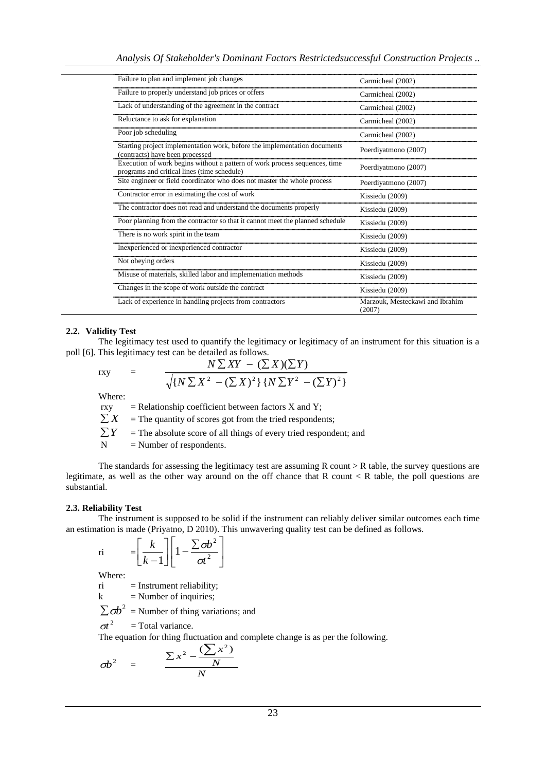| Failure to plan and implement job changes                                                                                 | Carmicheal (2002)                         |
|---------------------------------------------------------------------------------------------------------------------------|-------------------------------------------|
| Failure to properly understand job prices or offers                                                                       | Carmicheal (2002)                         |
| Lack of understanding of the agreement in the contract                                                                    | Carmicheal (2002)                         |
| Reluctance to ask for explanation                                                                                         | Carmicheal (2002)                         |
| Poor job scheduling                                                                                                       | Carmicheal (2002)                         |
| Starting project implementation work, before the implementation documents<br>(contracts) have been processed              | Poerdiyatmono (2007)                      |
| Execution of work begins without a pattern of work process sequences, time<br>programs and critical lines (time schedule) | Poerdiyatmono (2007)                      |
| Site engineer or field coordinator who does not master the whole process                                                  | Poerdiyatmono (2007)                      |
| Contractor error in estimating the cost of work                                                                           | Kissiedu (2009)                           |
| The contractor does not read and understand the documents properly                                                        | Kissiedu (2009)                           |
| Poor planning from the contractor so that it cannot meet the planned schedule                                             | Kissiedu (2009)                           |
| There is no work spirit in the team                                                                                       | Kissiedu (2009)                           |
| Inexperienced or inexperienced contractor                                                                                 | Kissiedu (2009)                           |
| Not obeying orders                                                                                                        | Kissiedu (2009)                           |
| Misuse of materials, skilled labor and implementation methods                                                             | Kissiedu (2009)                           |
| Changes in the scope of work outside the contract                                                                         | Kissiedu (2009)                           |
| Lack of experience in handling projects from contractors                                                                  | Marzouk, Mesteckawi and Ibrahim<br>(2007) |

#### **2.2. Validity Test**

The legitimacy test used to quantify the legitimacy or legitimacy of an instrument for this situation is a poll [6]. This legitimacy test can be detailed as follows.

$$
\text{rxy} = \frac{N \sum XY - (\sum X)(\sum Y)}{\sqrt{\{N \sum X^2 - (\sum X)^2\} \{N \sum Y^2 - (\sum Y)^2\}}}
$$

Where:

rxy  $=$  Relationship coefficient between factors X and Y; *X*  $=$  The quantity of scores got from the tried respondents;  $\sum Y$ = The absolute score of all things of every tried respondent; and  $N =$  Number of respondents.

The standards for assessing the legitimacy test are assuming  $R$  count  $\geq R$  table, the survey questions are legitimate, as well as the other way around on the off chance that R count  $\lt R$  table, the poll questions are substantial.

#### **2.3. Reliability Test**

The instrument is supposed to be solid if the instrument can reliably deliver similar outcomes each time an estimation is made (Priyatno, D 2010). This unwavering quality test can be defined as follows.

$$
\begin{aligned}\n\text{ri} \qquad &= \left[ \frac{k}{k-1} \right] \left[ 1 - \frac{\sum \sigma b^2}{\sigma t^2} \right]\n\end{aligned}
$$

Where:

 $ri$  = Instrument reliability;

 $k =$  Number of inquiries;

 $\sum$   $\sigma b^2$  = Number of thing variations; and

 $\sigma t^2$ = Total variance.

The equation for thing fluctuation and complete change is as per the following.

$$
\sigma b^2 = \frac{\sum x^2 - \frac{(\sum x^2)}{N}}{N}
$$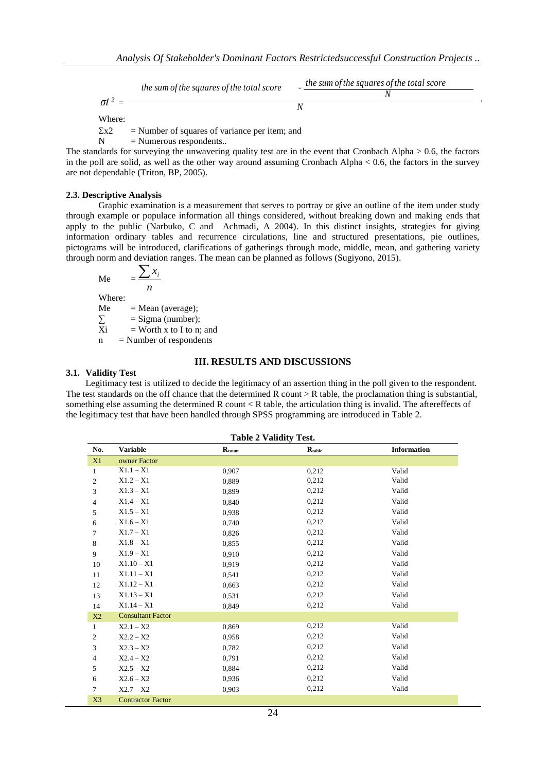*the sum of the squares of the total score* 
$$
\sigma t^2 = \frac{t^2}{N}
$$

Where:

 $\Sigma x^2$  = Number of squares of variance per item; and

 $N =$  Numerous respondents..

The standards for surveying the unwavering quality test are in the event that Cronbach Alpha  $> 0.6$ , the factors in the poll are solid, as well as the other way around assuming Cronbach Alpha  $< 0.6$ , the factors in the survey are not dependable (Triton, BP, 2005).

## **2.3. Descriptive Analysis**

Graphic examination is a measurement that serves to portray or give an outline of the item under study through example or populace information all things considered, without breaking down and making ends that apply to the public (Narbuko, C and Achmadi, A 2004). In this distinct insights, strategies for giving information ordinary tables and recurrence circulations, line and structured presentations, pie outlines, pictograms will be introduced, clarifications of gatherings through mode, middle, mean, and gathering variety through norm and deviation ranges. The mean can be planned as follows (Sugiyono, 2015).

$$
Me = \frac{\sum x_i}{n}
$$

Where:

Me = Mean (average);<br>  $\sum$  = Sigma (number);<br>
Xi = Worth x to I to n  $=$  Sigma (number);

 $=$  Worth x to I to n; and

 $n =$  Number of respondents

#### **III. RESULTS AND DISCUSSIONS**

# **3.1. Validity Test**

Legitimacy test is utilized to decide the legitimacy of an assertion thing in the poll given to the respondent. The test standards on the off chance that the determined  $R$  count  $> R$  table, the proclamation thing is substantial, something else assuming the determined R count < R table, the articulation thing is invalid. The aftereffects of the legitimacy test that have been handled through SPSS programming are introduced in Table 2.

| <b>Table 2 Validity Test.</b> |                          |                             |                          |                    |
|-------------------------------|--------------------------|-----------------------------|--------------------------|--------------------|
| No.                           | <b>Variable</b>          | $\mathbf{R}_{\text{count}}$ | $\mathbf{R}_{\rm table}$ | <b>Information</b> |
| X1                            | owner Factor             |                             |                          |                    |
| 1                             | $X1.1 - X1$              | 0,907                       | 0,212                    | Valid              |
| 2                             | $X1.2 - X1$              | 0,889                       | 0,212                    | Valid              |
| 3                             | $X1.3 - X1$              | 0,899                       | 0,212                    | Valid              |
| $\overline{4}$                | $X1.4 - X1$              | 0,840                       | 0,212                    | Valid              |
| 5                             | $X1.5 - X1$              | 0.938                       | 0,212                    | Valid              |
| 6                             | $X1.6 - X1$              | 0,740                       | 0,212                    | Valid              |
| 7                             | $X1.7 - X1$              | 0.826                       | 0,212                    | Valid              |
| 8                             | $X1.8 - X1$              | 0.855                       | 0,212                    | Valid              |
| 9                             | $X1.9 - X1$              | 0.910                       | 0,212                    | Valid              |
| 10                            | $X1.10 - X1$             | 0.919                       | 0,212                    | Valid              |
| 11                            | $X1.11 - X1$             | 0,541                       | 0,212                    | Valid              |
| 12                            | $X1.12 - X1$             | 0.663                       | 0,212                    | Valid              |
| 13                            | $X1.13 - X1$             | 0,531                       | 0,212                    | Valid              |
| 14                            | $X1.14 - X1$             | 0.849                       | 0,212                    | Valid              |
| X2                            | <b>Consultant Factor</b> |                             |                          |                    |
| $\mathbf{1}$                  | $X2.1 - X2$              | 0.869                       | 0,212                    | Valid              |
| $\overline{c}$                | $X2.2 - X2$              | 0.958                       | 0,212                    | Valid              |
| 3                             | $X2.3 - X2$              | 0.782                       | 0,212                    | Valid              |
| 4                             | $X2.4 - X2$              | 0.791                       | 0,212                    | Valid              |
| 5                             | $X2.5 - X2$              | 0.884                       | 0,212                    | Valid              |
| 6                             | $X2.6 - X2$              | 0,936                       | 0,212                    | Valid              |
| $\tau$                        | $X2.7 - X2$              | 0,903                       | 0,212                    | Valid              |
| X <sub>3</sub>                | <b>Contractor Factor</b> |                             |                          |                    |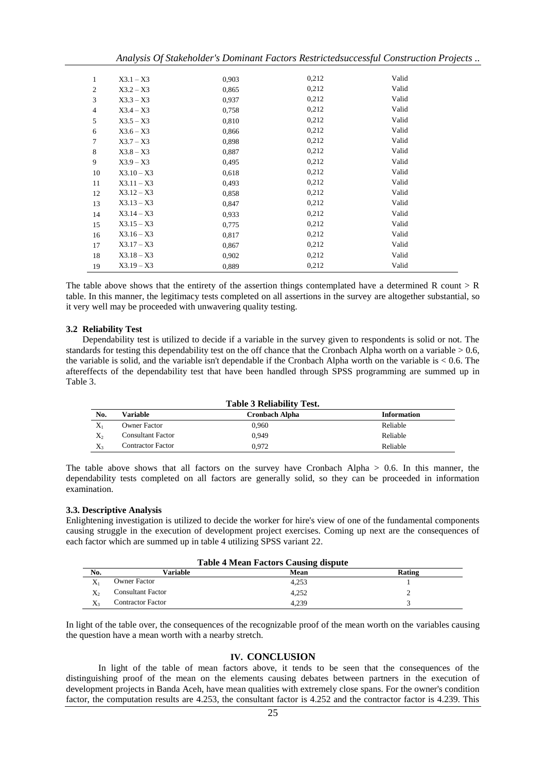*Analysis Of Stakeholder's Dominant Factors Restrictedsuccessful Construction Projects ..*

| 1              | $X3.1 - X3$  | 0,903 | 0,212 | Valid |
|----------------|--------------|-------|-------|-------|
| $\overline{c}$ | $X3.2 - X3$  | 0,865 | 0,212 | Valid |
| 3              | $X3.3 - X3$  | 0,937 | 0,212 | Valid |
| 4              | $X3.4 - X3$  | 0,758 | 0,212 | Valid |
| 5              | $X3.5 - X3$  | 0,810 | 0,212 | Valid |
| 6              | $X3.6 - X3$  | 0,866 | 0,212 | Valid |
| 7              | $X3.7 - X3$  | 0,898 | 0,212 | Valid |
| 8              | $X3.8 - X3$  | 0,887 | 0,212 | Valid |
| 9              | $X3.9 - X3$  | 0,495 | 0,212 | Valid |
| 10             | $X3.10 - X3$ | 0,618 | 0,212 | Valid |
| 11             | $X3.11 - X3$ | 0,493 | 0,212 | Valid |
| 12             | $X3.12 - X3$ | 0,858 | 0,212 | Valid |
| 13             | $X3.13 - X3$ | 0,847 | 0,212 | Valid |
| 14             | $X3.14 - X3$ | 0,933 | 0,212 | Valid |
| 15             | $X3.15 - X3$ | 0,775 | 0,212 | Valid |
| 16             | $X3.16 - X3$ | 0,817 | 0,212 | Valid |
| 17             | $X3.17 - X3$ | 0,867 | 0,212 | Valid |
| 18             | $X3.18 - X3$ | 0,902 | 0,212 | Valid |
| 19             | $X3.19 - X3$ | 0.889 | 0,212 | Valid |

The table above shows that the entirety of the assertion things contemplated have a determined R count  $> R$ table. In this manner, the legitimacy tests completed on all assertions in the survey are altogether substantial, so it very well may be proceeded with unwavering quality testing.

## **3.2 Reliability Test**

Dependability test is utilized to decide if a variable in the survey given to respondents is solid or not. The standards for testing this dependability test on the off chance that the Cronbach Alpha worth on a variable > 0.6, the variable is solid, and the variable isn't dependable if the Cronbach Alpha worth on the variable is  $< 0.6$ . The aftereffects of the dependability test that have been handled through SPSS programming are summed up in Table 3.

| <b>Table 3 Reliability Test.</b> |                          |                |                    |
|----------------------------------|--------------------------|----------------|--------------------|
| No.                              | Variable                 | Cronbach Alpha | <b>Information</b> |
| $X_1$                            | <b>Owner Factor</b>      | 0.960          | Reliable           |
| $X_2$                            | <b>Consultant Factor</b> | 0.949          | Reliable           |
| $X_3$                            | <b>Contractor Factor</b> | 0.972          | Reliable           |

The table above shows that all factors on the survey have Cronbach Alpha  $> 0.6$ . In this manner, the dependability tests completed on all factors are generally solid, so they can be proceeded in information examination.

# **3.3. Descriptive Analysis**

Enlightening investigation is utilized to decide the worker for hire's view of one of the fundamental components causing struggle in the execution of development project exercises. Coming up next are the consequences of each factor which are summed up in table 4 utilizing SPSS variant 22.

| <b>Table 4 Mean Factors Causing dispute</b> |                          |       |        |
|---------------------------------------------|--------------------------|-------|--------|
| No.                                         | Variable                 | Mean  | Rating |
|                                             | <b>Owner Factor</b>      | 4.253 |        |
|                                             | <b>Consultant Factor</b> | 4.252 |        |
|                                             | <b>Contractor Factor</b> | 4.239 |        |

In light of the table over, the consequences of the recognizable proof of the mean worth on the variables causing the question have a mean worth with a nearby stretch.

# **IV. CONCLUSION**

In light of the table of mean factors above, it tends to be seen that the consequences of the distinguishing proof of the mean on the elements causing debates between partners in the execution of development projects in Banda Aceh, have mean qualities with extremely close spans. For the owner's condition factor, the computation results are 4.253, the consultant factor is 4.252 and the contractor factor is 4.239. This